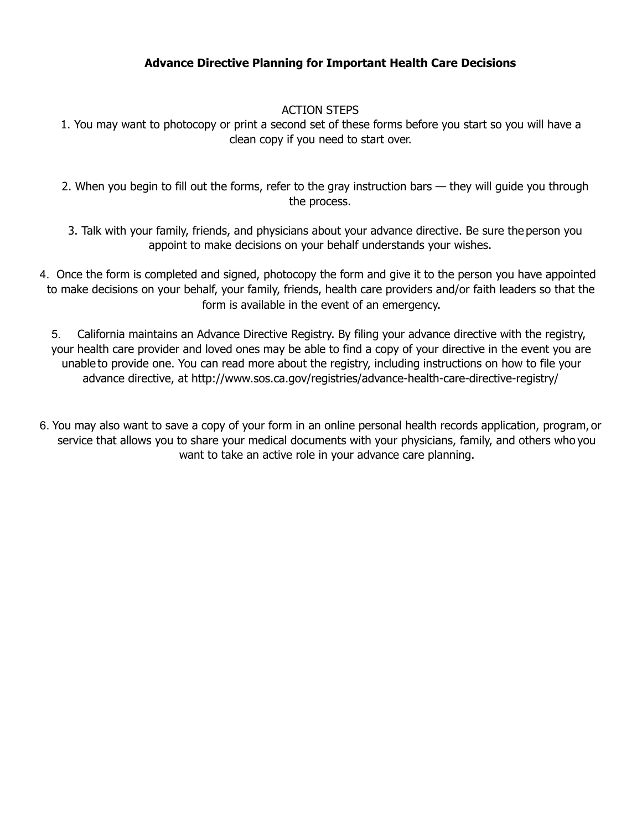## **Advance Directive Planning for Important Health Care Decisions**

## ACTION STEPS

- 1. You may want to photocopy or print a second set of these forms before you start so you will have a clean copy if you need to start over.
- 2. When you begin to fill out the forms, refer to the gray instruction bars they will guide you through the process.
- 3. Talk with your family, friends, and physicians about your advance directive. Be sure the person you appoint to make decisions on your behalf understands your wishes.
- 4. Once the form is completed and signed, photocopy the form and give it to the person you have appointed to make decisions on your behalf, your family, friends, health care providers and/or faith leaders so that the form is available in the event of an emergency.

5. California maintains an Advance Directive Registry. By filing your advance directive with the registry, your health care provider and loved ones may be able to find a copy of your directive in the event you are unable to provide one. You can read more about the registry, including instructions on how to file your advance directive, at <http://www.sos.ca.gov/registries/advance-health-care-directive-registry/>

6. You may also want to save a copy of your form in an online personal health records application, program, or service that allows you to share your medical documents with your physicians, family, and others who you want to take an active role in your advance care planning.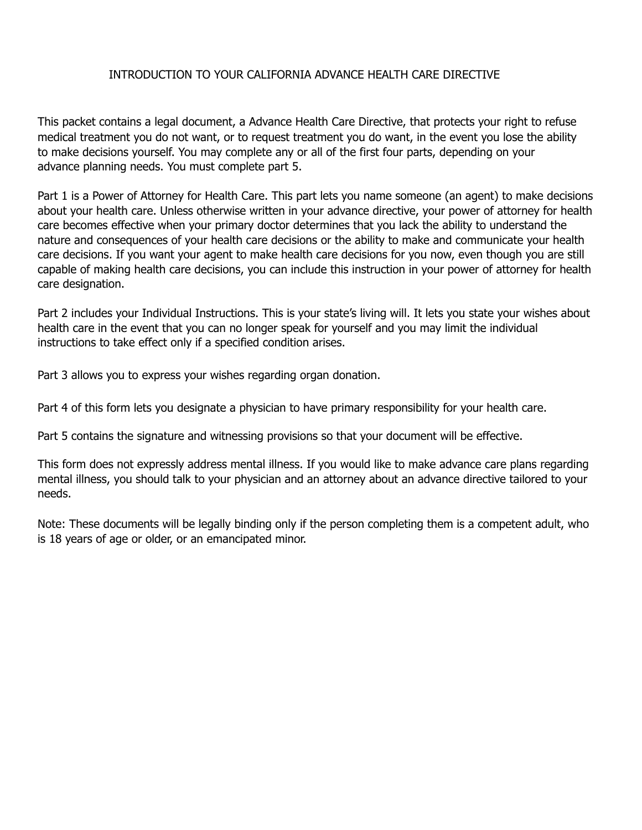### INTRODUCTION TO YOUR CALIFORNIA ADVANCE HEALTH CARE DIRECTIVE

This packet contains a legal document, a Advance Health Care Directive, that protects your right to refuse medical treatment you do not want, or to request treatment you do want, in the event you lose the ability to make decisions yourself. You may complete any or all of the first four parts, depending on your advance planning needs. You must complete part 5.

Part 1 is a Power of Attorney for Health Care. This part lets you name someone (an agent) to make decisions about your health care. Unless otherwise written in your advance directive, your power of attorney for health care becomes effective when your primary doctor determines that you lack the ability to understand the nature and consequences of your health care decisions or the ability to make and communicate your health care decisions. If you want your agent to make health care decisions for you now, even though you are still capable of making health care decisions, you can include this instruction in your power of attorney for health care designation.

Part 2 includes your Individual Instructions. This is your state's living will. It lets you state your wishes about health care in the event that you can no longer speak for yourself and you may limit the individual instructions to take effect only if a specified condition arises.

Part 3 allows you to express your wishes regarding organ donation.

Part 4 of this form lets you designate a physician to have primary responsibility for your health care.

Part 5 contains the signature and witnessing provisions so that your document will be effective.

This form does not expressly address mental illness. If you would like to make advance care plans regarding mental illness, you should talk to your physician and an attorney about an advance directive tailored to your needs.

Note: These documents will be legally binding only if the person completing them is a competent adult, who is 18 years of age or older, or an emancipated minor.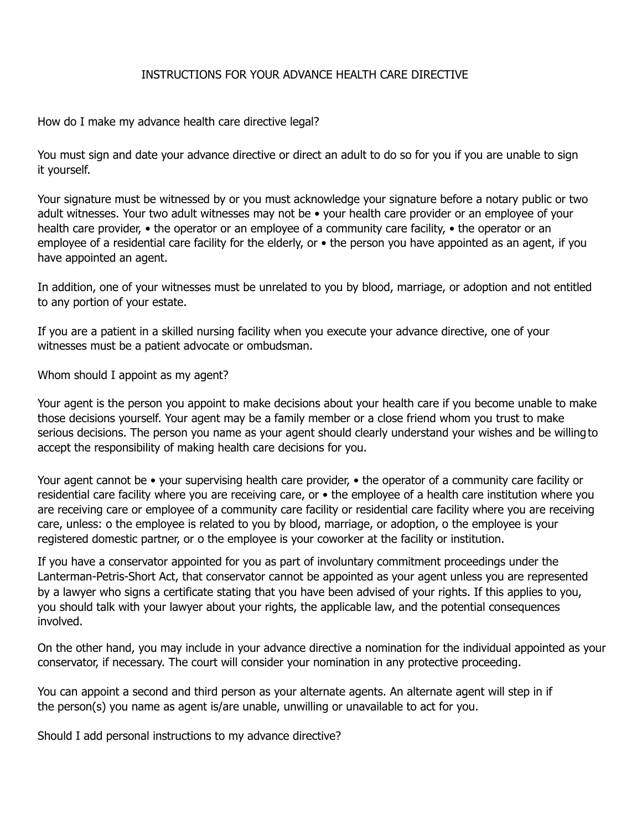#### INSTRUCTIONS FOR YOUR ADVANCE HEALTH CARE DIRECTIVE

How do I make my advance health care directive legal?

You must sign and date your advance directive or direct an adult to do so for you if you are unable to sign it yourself.

Your signature must be witnessed by or you must acknowledge your signature before a notary public or two adult witnesses. Your two adult witnesses may not be • your health care provider or an employee of your health care provider, • the operator or an employee of a community care facility, • the operator or an employee of a residential care facility for the elderly, or • the person you have appointed as an agent, if you have appointed an agent.

In addition, one of your witnesses must be unrelated to you by blood, marriage, or adoption and not entitled to any portion of your estate.

If you are a patient in a skilled nursing facility when you execute your advance directive, one of your witnesses must be a patient advocate or ombudsman.

Whom should I appoint as my agent?

Your agent is the person you appoint to make decisions about your health care if you become unable to make those decisions yourself. Your agent may be a family member or a close friend whom you trust to make serious decisions. The person you name as your agent should clearly understand your wishes and be willingto accept the responsibility of making health care decisions for you.

Your agent cannot be • your supervising health care provider, • the operator of a community care facility or residential care facility where you are receiving care, or • the employee of a health care institution where you are receiving care or employee of a community care facility or residential care facility where you are receiving care, unless: o the employee is related to you by blood, marriage, or adoption, o the employee is your registered domestic partner, or o the employee is your coworker at the facility or institution.

If you have a conservator appointed for you as part of involuntary commitment proceedings under the Lanterman-Petris-Short Act, that conservator cannot be appointed as your agent unless you are represented by a lawyer who signs a certificate stating that you have been advised of your rights. If this applies to you, you should talk with your lawyer about your rights, the applicable law, and the potential consequences involved.

On the other hand, you may include in your advance directive a nomination for the individual appointed as your conservator, if necessary. The court will consider your nomination in any protective proceeding.

You can appoint a second and third person as your alternate agents. An alternate agent will step in if the person(s) you name as agent is/are unable, unwilling or unavailable to act for you.

Should I add personal instructions to my advance directive?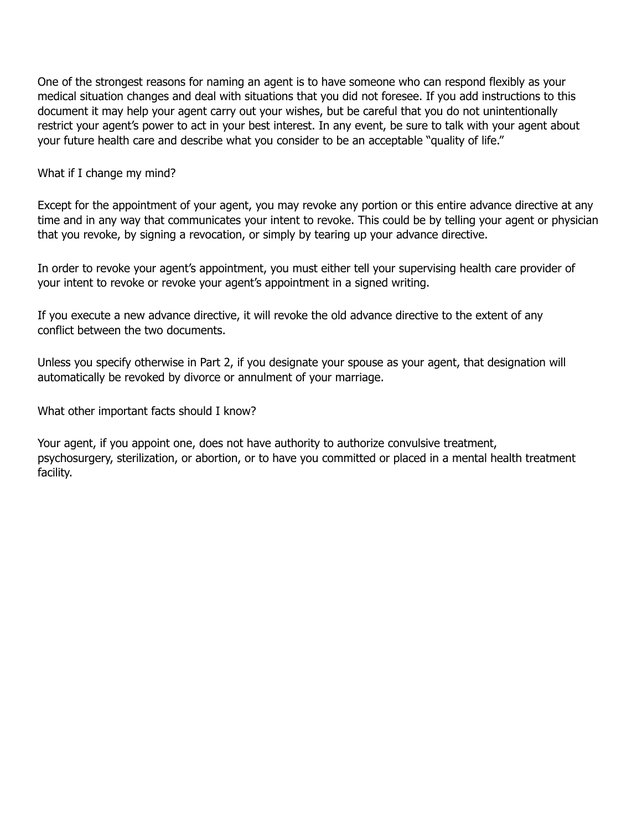One of the strongest reasons for naming an agent is to have someone who can respond flexibly as your medical situation changes and deal with situations that you did not foresee. If you add instructions to this document it may help your agent carry out your wishes, but be careful that you do not unintentionally restrict your agent's power to act in your best interest. In any event, be sure to talk with your agent about your future health care and describe what you consider to be an acceptable "quality of life."

What if I change my mind?

Except for the appointment of your agent, you may revoke any portion or this entire advance directive at any time and in any way that communicates your intent to revoke. This could be by telling your agent or physician that you revoke, by signing a revocation, or simply by tearing up your advance directive.

In order to revoke your agent's appointment, you must either tell your supervising health care provider of your intent to revoke or revoke your agent's appointment in a signed writing.

If you execute a new advance directive, it will revoke the old advance directive to the extent of any conflict between the two documents.

Unless you specify otherwise in Part 2, if you designate your spouse as your agent, that designation will automatically be revoked by divorce or annulment of your marriage.

What other important facts should I know?

Your agent, if you appoint one, does not have authority to authorize convulsive treatment, psychosurgery, sterilization, or abortion, or to have you committed or placed in a mental health treatment facility.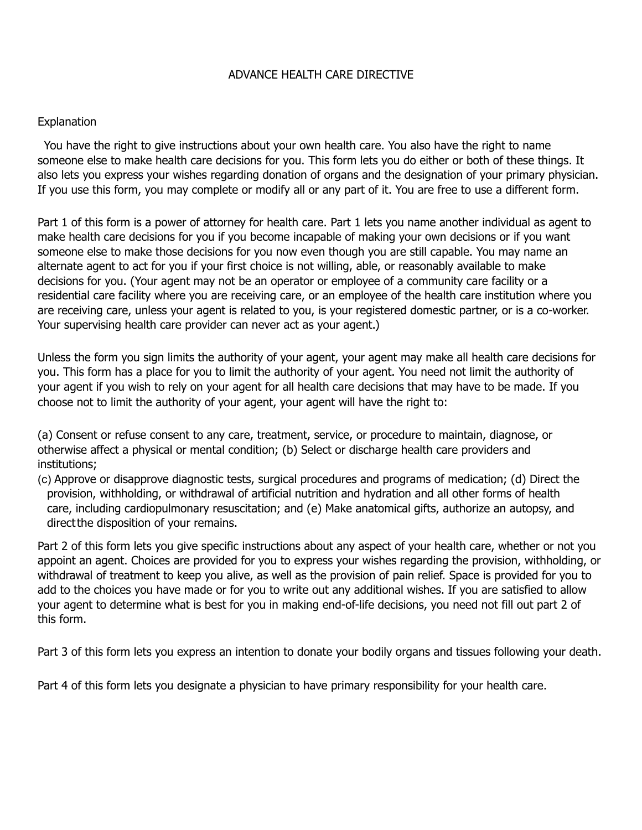### ADVANCE HEALTH CARE DIRECTIVE

#### **Explanation**

You have the right to give instructions about your own health care. You also have the right to name someone else to make health care decisions for you. This form lets you do either or both of these things. It also lets you express your wishes regarding donation of organs and the designation of your primary physician. If you use this form, you may complete or modify all or any part of it. You are free to use a different form.

Part 1 of this form is a power of attorney for health care. Part 1 lets you name another individual as agent to make health care decisions for you if you become incapable of making your own decisions or if you want someone else to make those decisions for you now even though you are still capable. You may name an alternate agent to act for you if your first choice is not willing, able, or reasonably available to make decisions for you. (Your agent may not be an operator or employee of a community care facility or a residential care facility where you are receiving care, or an employee of the health care institution where you are receiving care, unless your agent is related to you, is your registered domestic partner, or is a co-worker. Your supervising health care provider can never act as your agent.)

Unless the form you sign limits the authority of your agent, your agent may make all health care decisions for you. This form has a place for you to limit the authority of your agent. You need not limit the authority of your agent if you wish to rely on your agent for all health care decisions that may have to be made. If you choose not to limit the authority of your agent, your agent will have the right to:

(a) Consent or refuse consent to any care, treatment, service, or procedure to maintain, diagnose, or otherwise affect a physical or mental condition; (b) Select or discharge health care providers and institutions;

(c) Approve or disapprove diagnostic tests, surgical procedures and programs of medication; (d) Direct the provision, withholding, or withdrawal of artificial nutrition and hydration and all other forms of health care, including cardiopulmonary resuscitation; and (e) Make anatomical gifts, authorize an autopsy, and directthe disposition of your remains.

Part 2 of this form lets you give specific instructions about any aspect of your health care, whether or not you appoint an agent. Choices are provided for you to express your wishes regarding the provision, withholding, or withdrawal of treatment to keep you alive, as well as the provision of pain relief. Space is provided for you to add to the choices you have made or for you to write out any additional wishes. If you are satisfied to allow your agent to determine what is best for you in making end-of-life decisions, you need not fill out part 2 of this form.

Part 3 of this form lets you express an intention to donate your bodily organs and tissues following your death.

Part 4 of this form lets you designate a physician to have primary responsibility for your health care.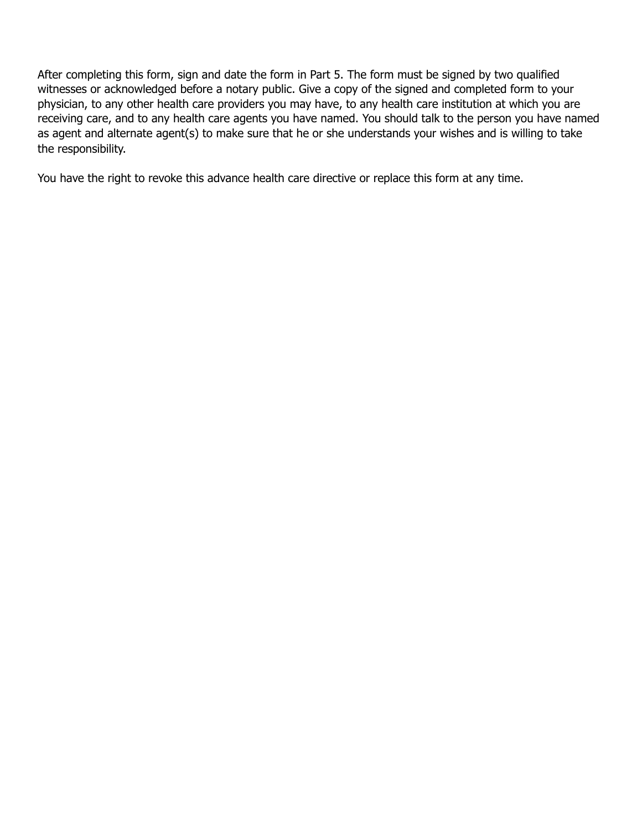After completing this form, sign and date the form in Part 5. The form must be signed by two qualified witnesses or acknowledged before a notary public. Give a copy of the signed and completed form to your physician, to any other health care providers you may have, to any health care institution at which you are receiving care, and to any health care agents you have named. You should talk to the person you have named as agent and alternate agent(s) to make sure that he or she understands your wishes and is willing to take the responsibility.

You have the right to revoke this advance health care directive or replace this form at any time.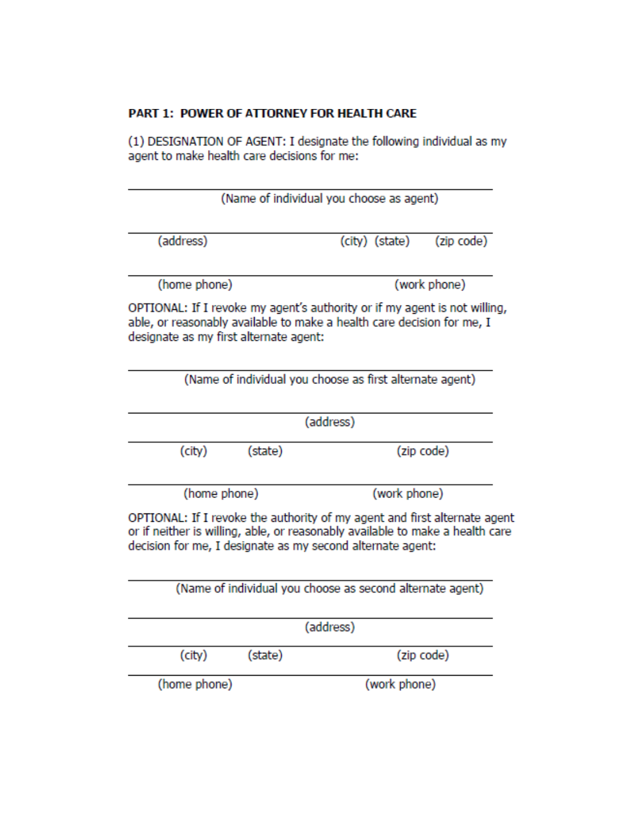## PART 1: POWER OF ATTORNEY FOR HEALTH CARE

(1) DESIGNATION OF AGENT: I designate the following individual as my agent to make health care decisions for me:

|                                                                                                                                                                                                                          |         | (Name of individual you choose as agent)                 |                                                           |  |
|--------------------------------------------------------------------------------------------------------------------------------------------------------------------------------------------------------------------------|---------|----------------------------------------------------------|-----------------------------------------------------------|--|
| (address)                                                                                                                                                                                                                |         | (city) (state)                                           | (zip code)                                                |  |
| (home phone)                                                                                                                                                                                                             |         |                                                          | (work phone)                                              |  |
| OPTIONAL: If I revoke my agent's authority or if my agent is not willing,<br>able, or reasonably available to make a health care decision for me, I<br>designate as my first alternate agent:                            |         |                                                          |                                                           |  |
|                                                                                                                                                                                                                          |         | (Name of individual you choose as first alternate agent) |                                                           |  |
|                                                                                                                                                                                                                          |         | (address)                                                |                                                           |  |
| (city)                                                                                                                                                                                                                   | (state) |                                                          | (zip code)                                                |  |
| (home phone)                                                                                                                                                                                                             |         |                                                          | (work phone)                                              |  |
| OPTIONAL: If I revoke the authority of my agent and first alternate agent<br>or if neither is willing, able, or reasonably available to make a health care<br>decision for me, I designate as my second alternate agent: |         |                                                          |                                                           |  |
|                                                                                                                                                                                                                          |         |                                                          | (Name of individual you choose as second alternate agent) |  |
|                                                                                                                                                                                                                          |         | (address)                                                |                                                           |  |
| (city)                                                                                                                                                                                                                   | (state) |                                                          | (zip code)                                                |  |
| (home phone)                                                                                                                                                                                                             |         | (work phone)                                             |                                                           |  |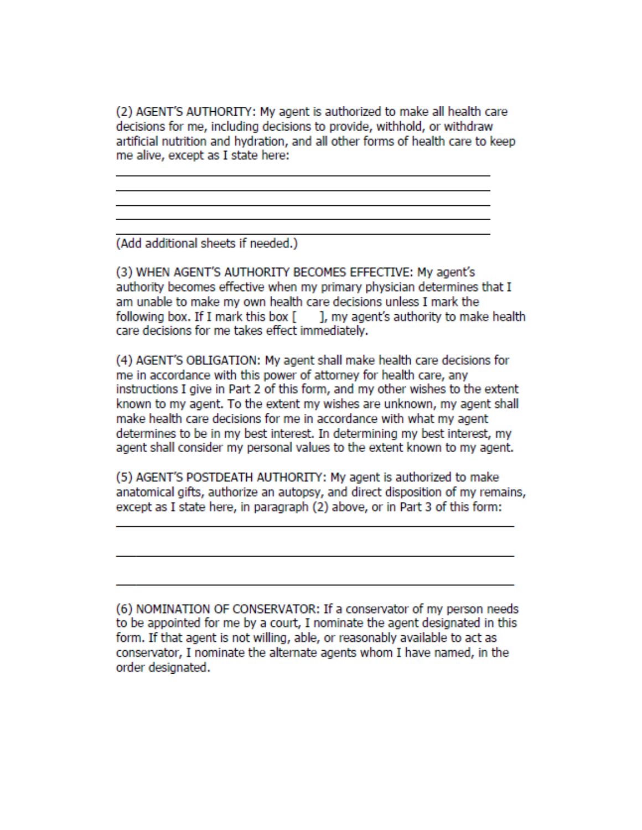(2) AGENT'S AUTHORITY: My agent is authorized to make all health care decisions for me, including decisions to provide, withhold, or withdraw artificial nutrition and hydration, and all other forms of health care to keep me alive, except as I state here:

(Add additional sheets if needed.)

(3) WHEN AGENT'S AUTHORITY BECOMES EFFECTIVE: My agent's authority becomes effective when my primary physician determines that I am unable to make my own health care decisions unless I mark the following box. If I mark this box [ ], my agent's authority to make health care decisions for me takes effect immediately.

(4) AGENT'S OBLIGATION: My agent shall make health care decisions for me in accordance with this power of attorney for health care, any instructions I give in Part 2 of this form, and my other wishes to the extent known to my agent. To the extent my wishes are unknown, my agent shall make health care decisions for me in accordance with what my agent determines to be in my best interest. In determining my best interest, my agent shall consider my personal values to the extent known to my agent.

(5) AGENT'S POSTDEATH AUTHORITY: My agent is authorized to make anatomical gifts, authorize an autopsy, and direct disposition of my remains, except as I state here, in paragraph (2) above, or in Part 3 of this form:

(6) NOMINATION OF CONSERVATOR: If a conservator of my person needs to be appointed for me by a court, I nominate the agent designated in this form. If that agent is not willing, able, or reasonably available to act as conservator, I nominate the alternate agents whom I have named, in the order designated.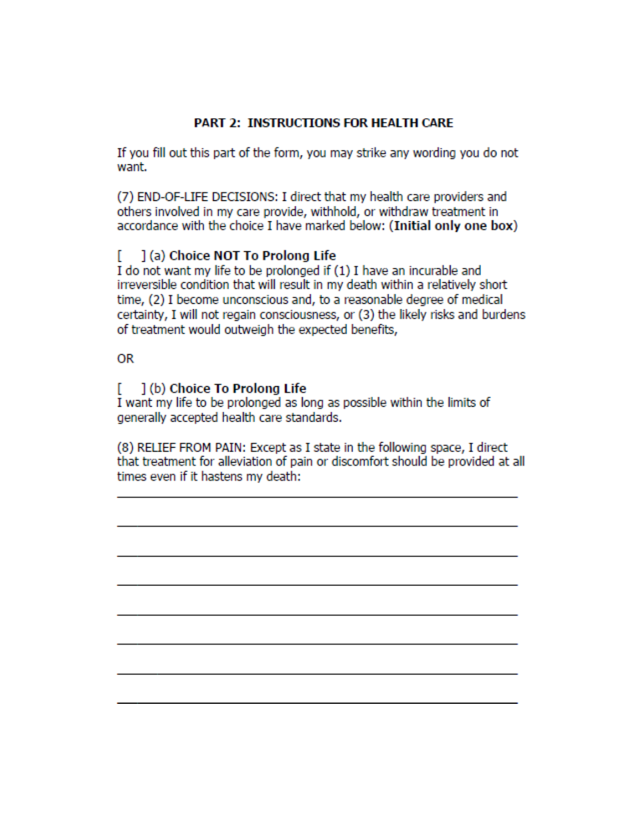## **PART 2: INSTRUCTIONS FOR HEALTH CARE**

If you fill out this part of the form, you may strike any wording you do not want.

(7) END-OF-LIFE DECISIONS: I direct that my health care providers and others involved in my care provide, withhold, or withdraw treatment in accordance with the choice I have marked below: (Initial only one box)

#### r. 1(a) Choice NOT To Prolong Life

I do not want my life to be prolonged if (1) I have an incurable and irreversible condition that will result in my death within a relatively short time, (2) I become unconscious and, to a reasonable degree of medical certainty, I will not regain consciousness, or (3) the likely risks and burdens of treatment would outweigh the expected benefits,

## **OR**

#### 1(b) Choice To Prolong Life r.

I want my life to be prolonged as long as possible within the limits of generally accepted health care standards.

(8) RELIEF FROM PAIN: Except as I state in the following space, I direct that treatment for alleviation of pain or discomfort should be provided at all times even if it hastens my death: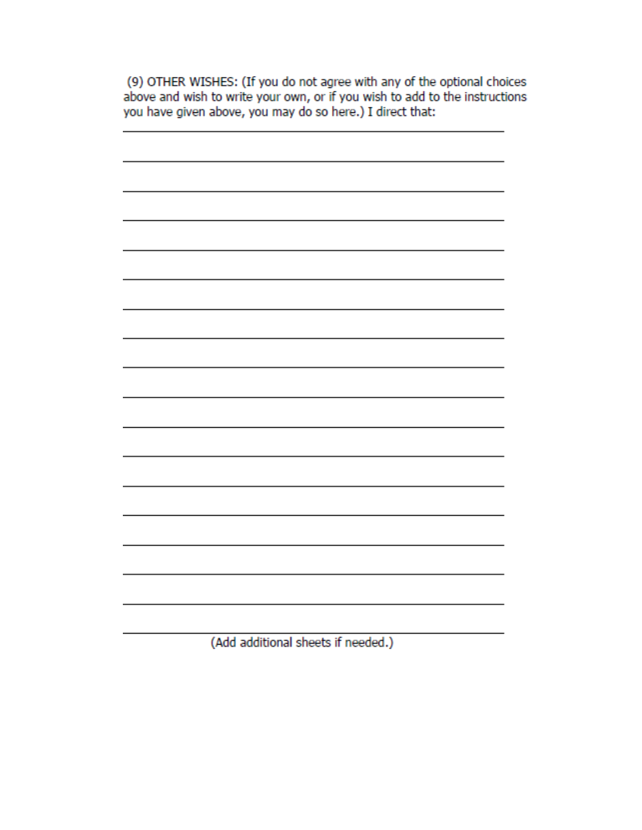(9) OTHER WISHES: (If you do not agree with any of the optional choices above and wish to write your own, or if you wish to add to the instructions you have given above, you may do so here.) I direct that:

(Add additional sheets if needed.)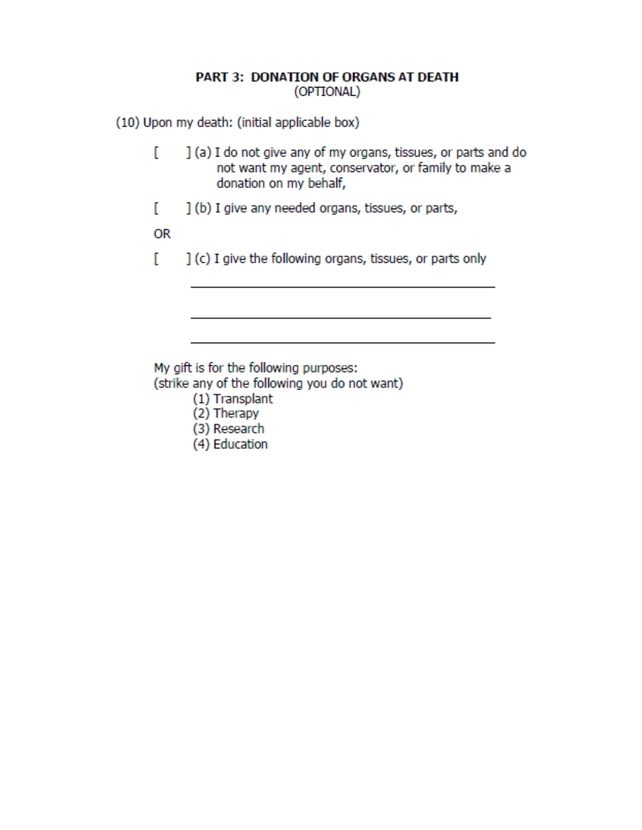## **PART 3: DONATION OF ORGANS AT DEATH** (OPTIONAL)

(10) Upon my death: (initial applicable box)

- ſ ] (a) I do not give any of my organs, tissues, or parts and do not want my agent, conservator, or family to make a donation on my behalf,
- L ] (b) I give any needed organs, tissues, or parts,

**OR** 

] (c) I give the following organs, tissues, or parts only L

My gift is for the following purposes: (strike any of the following you do not want)

- (1) Transplant
- (2) Therapy
- (3) Research
- (4) Education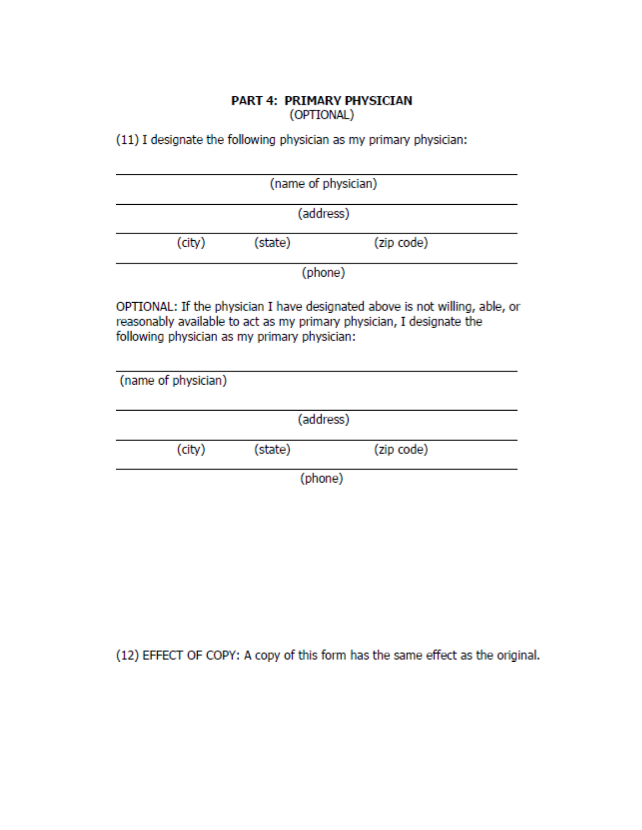#### PART 4: PRIMARY PHYSICIAN (OPTIONAL)

(11) I designate the following physician as my primary physician:

| (name of physician) |           |         |            |  |
|---------------------|-----------|---------|------------|--|
|                     | (address) |         |            |  |
|                     | (city)    | (state) | (zip code) |  |
| (phone)             |           |         |            |  |

OPTIONAL: If the physician I have designated above is not willing, able, or reasonably available to act as my primary physician, I designate the following physician as my primary physician:

| (name of physician) |         |            |  |
|---------------------|---------|------------|--|
|                     |         | (address)  |  |
| (city)              | (state) | (zip code) |  |
|                     |         | (phone)    |  |

(12) EFFECT OF COPY: A copy of this form has the same effect as the original.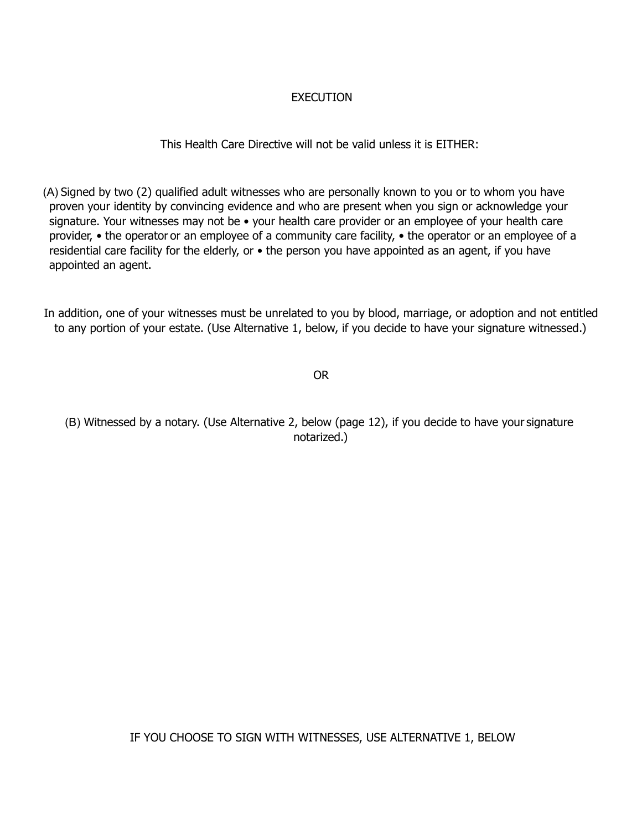## **EXECUTION**

## This Health Care Directive will not be valid unless it is EITHER:

(A) Signed by two (2) qualified adult witnesses who are personally known to you or to whom you have proven your identity by convincing evidence and who are present when you sign or acknowledge your signature. Your witnesses may not be • your health care provider or an employee of your health care provider, • the operator or an employee of a community care facility, • the operator or an employee of a residential care facility for the elderly, or • the person you have appointed as an agent, if you have appointed an agent.

In addition, one of your witnesses must be unrelated to you by blood, marriage, or adoption and not entitled to any portion of your estate. (Use Alternative 1, below, if you decide to have your signature witnessed.)

OR

(B) Witnessed by a notary. (Use Alternative 2, below (page 12), if you decide to have your signature notarized.)

IF YOU CHOOSE TO SIGN WITH WITNESSES, USE ALTERNATIVE 1, BELOW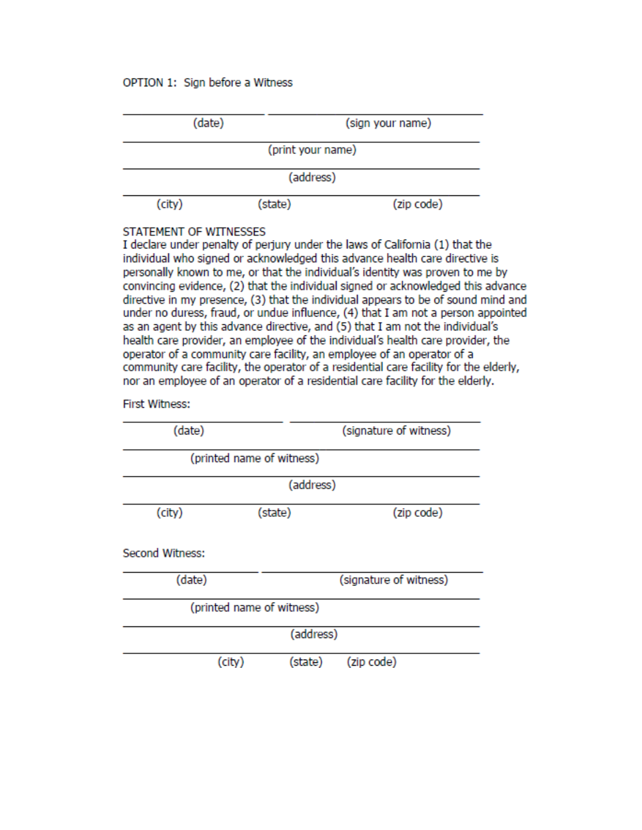#### OPTION 1: Sign before a Witness



#### STATEMENT OF WITNESSES

I declare under penalty of perjury under the laws of California (1) that the individual who signed or acknowledged this advance health care directive is personally known to me, or that the individual's identity was proven to me by convincing evidence, (2) that the individual signed or acknowledged this advance directive in my presence, (3) that the individual appears to be of sound mind and under no duress, fraud, or undue influence, (4) that I am not a person appointed as an agent by this advance directive, and (5) that I am not the individual's health care provider, an employee of the individual's health care provider, the operator of a community care facility, an employee of an operator of a community care facility, the operator of a residential care facility for the elderly, nor an employee of an operator of a residential care facility for the elderly.

#### **First Witness:**

| (date)                 |                           | (signature of witness) |            |
|------------------------|---------------------------|------------------------|------------|
|                        | (printed name of witness) |                        |            |
|                        |                           | (address)              |            |
| (city)                 | (state)                   |                        | (zip code) |
| <b>Second Witness:</b> |                           |                        |            |
| (date)                 |                           | (signature of witness) |            |
|                        | (printed name of witness) |                        |            |
|                        |                           | (address)              |            |
|                        | (city)                    | (state)                | (zip code) |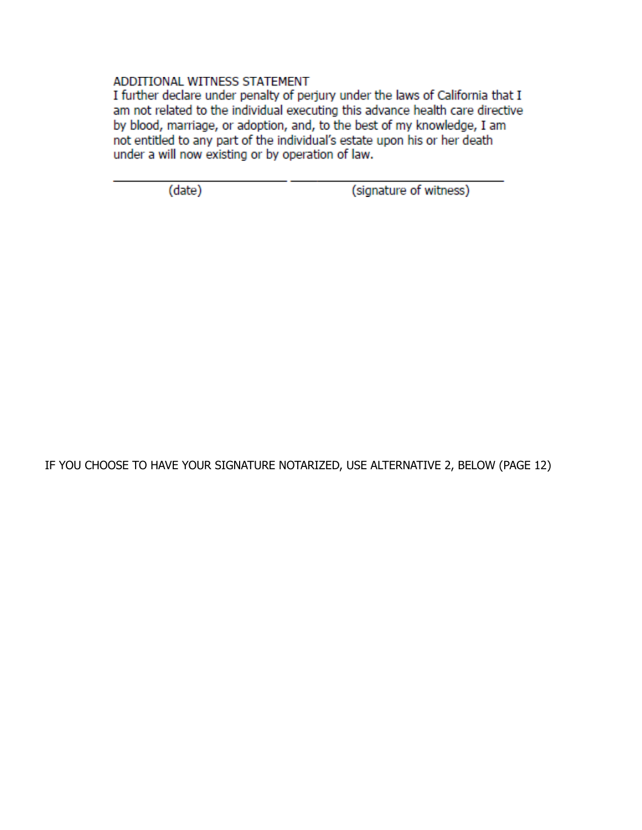#### ADDITIONAL WITNESS STATEMENT

I further declare under penalty of perjury under the laws of California that I am not related to the individual executing this advance health care directive by blood, marriage, or adoption, and, to the best of my knowledge, I am not entitled to any part of the individual's estate upon his or her death under a will now existing or by operation of law.

(date)

(signature of witness)

IF YOU CHOOSE TO HAVE YOUR SIGNATURE NOTARIZED, USE ALTERNATIVE 2, BELOW (PAGE 12)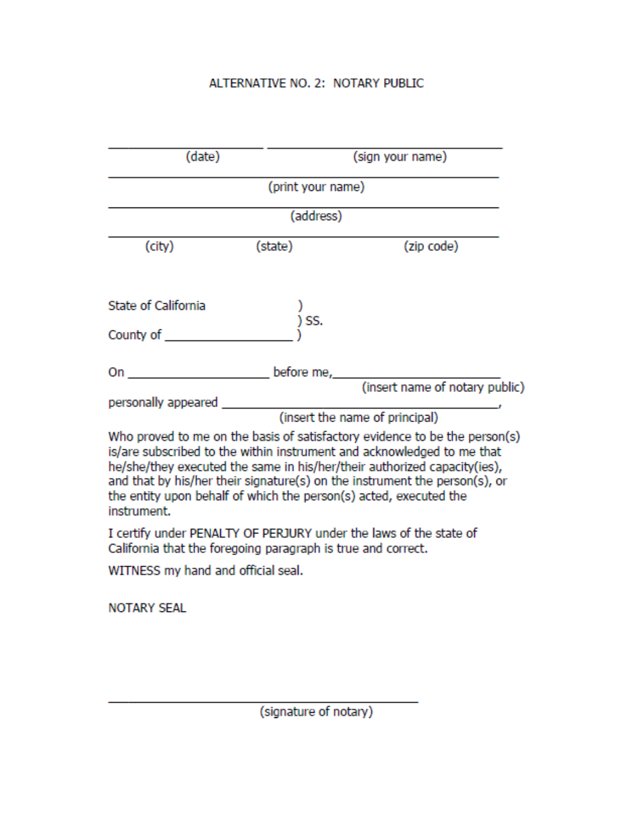# ALTERNATIVE NO. 2: NOTARY PUBLIC

| (date)                                                       |                   | (sign your name)                                                                                                                                                                                                                                                                                                                                                                    |
|--------------------------------------------------------------|-------------------|-------------------------------------------------------------------------------------------------------------------------------------------------------------------------------------------------------------------------------------------------------------------------------------------------------------------------------------------------------------------------------------|
|                                                              | (print your name) |                                                                                                                                                                                                                                                                                                                                                                                     |
|                                                              | (address)         |                                                                                                                                                                                                                                                                                                                                                                                     |
| (city)                                                       | (state)           | (zip code)                                                                                                                                                                                                                                                                                                                                                                          |
| State of California                                          |                   |                                                                                                                                                                                                                                                                                                                                                                                     |
|                                                              | ) SS.             |                                                                                                                                                                                                                                                                                                                                                                                     |
|                                                              |                   | (insert name of notary public)                                                                                                                                                                                                                                                                                                                                                      |
| personally appeared                                          |                   |                                                                                                                                                                                                                                                                                                                                                                                     |
|                                                              |                   | (insert the name of principal)                                                                                                                                                                                                                                                                                                                                                      |
| instrument.                                                  |                   | Who proved to me on the basis of satisfactory evidence to be the person(s)<br>is/are subscribed to the within instrument and acknowledged to me that<br>he/she/they executed the same in his/her/their authorized capacity(ies),<br>and that by his/her their signature(s) on the instrument the person(s), or<br>the entity upon behalf of which the person(s) acted, executed the |
| California that the foregoing paragraph is true and correct. |                   | I certify under PENALTY OF PERJURY under the laws of the state of                                                                                                                                                                                                                                                                                                                   |
| WITNESS my hand and official seal.                           |                   |                                                                                                                                                                                                                                                                                                                                                                                     |
| <b>NOTARY SEAL</b>                                           |                   |                                                                                                                                                                                                                                                                                                                                                                                     |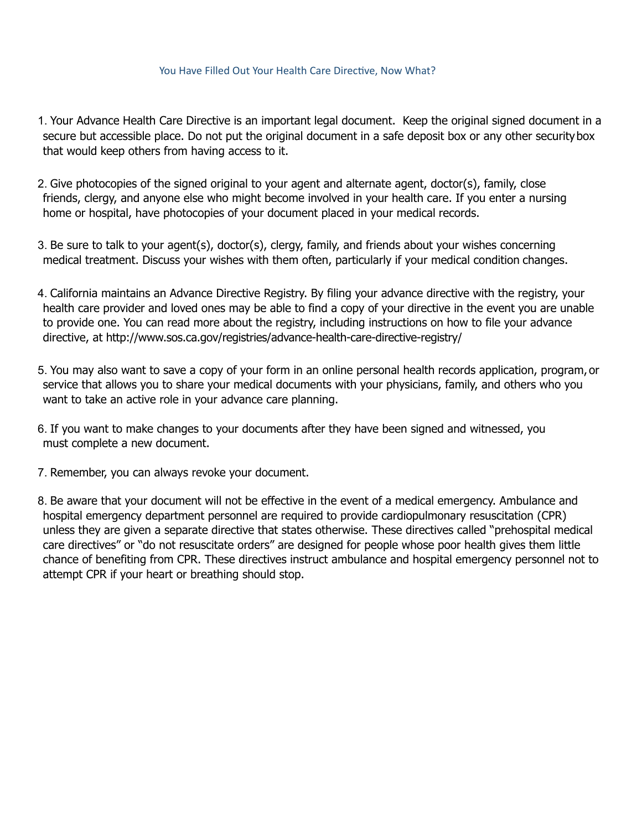#### You Have Filled Out Your Health Care Directive, Now What?

- 1. Your Advance Health Care Directive is an important legal document. Keep the original signed document in a secure but accessible place. Do not put the original document in a safe deposit box or any other securitybox that would keep others from having access to it.
- 2. Give photocopies of the signed original to your agent and alternate agent, doctor(s), family, close friends, clergy, and anyone else who might become involved in your health care. If you enter a nursing home or hospital, have photocopies of your document placed in your medical records.
- 3. Be sure to talk to your agent(s), doctor(s), clergy, family, and friends about your wishes concerning medical treatment. Discuss your wishes with them often, particularly if your medical condition changes.
- 4. California maintains an Advance Directive Registry. By filing your advance directive with the registry, your health care provider and loved ones may be able to find a copy of your directive in the event you are unable to provide one. You can read more about the registry, including instructions on how to file your advance directive, at <http://www.sos.ca.gov/registries/advance-health-care-directive-registry/>
- 5. You may also want to save a copy of your form in an online personal health records application, program, or service that allows you to share your medical documents with your physicians, family, and others who you want to take an active role in your advance care planning.
- 6. If you want to make changes to your documents after they have been signed and witnessed, you must complete a new document.
- 7. Remember, you can always revoke your document.
- 8. Be aware that your document will not be effective in the event of a medical emergency. Ambulance and hospital emergency department personnel are required to provide cardiopulmonary resuscitation (CPR) unless they are given a separate directive that states otherwise. These directives called "prehospital medical care directives" or "do not resuscitate orders" are designed for people whose poor health gives them little chance of benefiting from CPR. These directives instruct ambulance and hospital emergency personnel not to attempt CPR if your heart or breathing should stop.